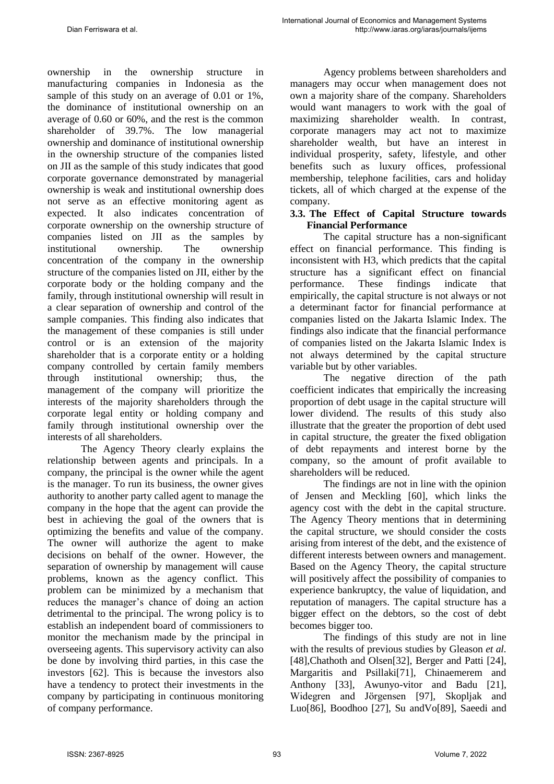ownership in the ownership structure in manufacturing companies in Indonesia as the sample of this study on an average of 0.01 or 1%, the dominance of institutional ownership on an average of 0.60 or 60%, and the rest is the common shareholder of 39.7%. The low managerial ownership and dominance of institutional ownership in the ownership structure of the companies listed on JII as the sample of this study indicates that good corporate governance demonstrated by managerial ownership is weak and institutional ownership does not serve as an effective monitoring agent as expected. It also indicates concentration of corporate ownership on the ownership structure of companies listed on JII as the samples by institutional ownership. The ownership concentration of the company in the ownership structure of the companies listed on JII, either by the corporate body or the holding company and the family, through institutional ownership will result in a clear separation of ownership and control of the sample companies. This finding also indicates that the management of these companies is still under control or is an extension of the majority shareholder that is a corporate entity or a holding company controlled by certain family members through institutional ownership; thus, the management of the company will prioritize the interests of the majority shareholders through the corporate legal entity or holding company and family through institutional ownership over the interests of all shareholders.

The Agency Theory clearly explains the relationship between agents and principals. In a company, the principal is the owner while the agent is the manager. To run its business, the owner gives authority to another party called agent to manage the company in the hope that the agent can provide the best in achieving the goal of the owners that is optimizing the benefits and value of the company. The owner will authorize the agent to make decisions on behalf of the owner. However, the separation of ownership by management will cause problems, known as the agency conflict. This problem can be minimized by a mechanism that reduces the manager's chance of doing an action detrimental to the principal. The wrong policy is to establish an independent board of commissioners to monitor the mechanism made by the principal in overseeing agents. This supervisory activity can also be done by involving third parties, in this case the investors [62]. This is because the investors also have a tendency to protect their investments in the company by participating in continuous monitoring of company performance.

Agency problems between shareholders and managers may occur when management does not own a majority share of the company. Shareholders would want managers to work with the goal of maximizing shareholder wealth. In contrast, corporate managers may act not to maximize shareholder wealth, but have an interest in individual prosperity, safety, lifestyle, and other benefits such as luxury offices, professional membership, telephone facilities, cars and holiday tickets, all of which charged at the expense of the company.

#### **3.3. The Effect of Capital Structure towards Financial Performance**

The capital structure has a non-significant effect on financial performance. This finding is inconsistent with H3, which predicts that the capital structure has a significant effect on financial performance. These findings indicate that empirically, the capital structure is not always or not a determinant factor for financial performance at companies listed on the Jakarta Islamic Index. The findings also indicate that the financial performance of companies listed on the Jakarta Islamic Index is not always determined by the capital structure variable but by other variables.

The negative direction of the path coefficient indicates that empirically the increasing proportion of debt usage in the capital structure will lower dividend. The results of this study also illustrate that the greater the proportion of debt used in capital structure, the greater the fixed obligation of debt repayments and interest borne by the company, so the amount of profit available to shareholders will be reduced.

The findings are not in line with the opinion of Jensen and Meckling [60], which links the agency cost with the debt in the capital structure. The Agency Theory mentions that in determining the capital structure, we should consider the costs arising from interest of the debt, and the existence of different interests between owners and management. Based on the Agency Theory, the capital structure will positively affect the possibility of companies to experience bankruptcy, the value of liquidation, and reputation of managers. The capital structure has a bigger effect on the debtors, so the cost of debt becomes bigger too.

The findings of this study are not in line with the results of previous studies by Gleason *et al.* [48],Chathoth and Olsen[32], Berger and Patti [24], Margaritis and Psillaki[71], Chinaemerem and Anthony [33], Awunyo-vitor and Badu [21], Widegren and Jörgensen [97], Skopljak and Luo[86], Boodhoo [27], Su andVo[89], Saeedi and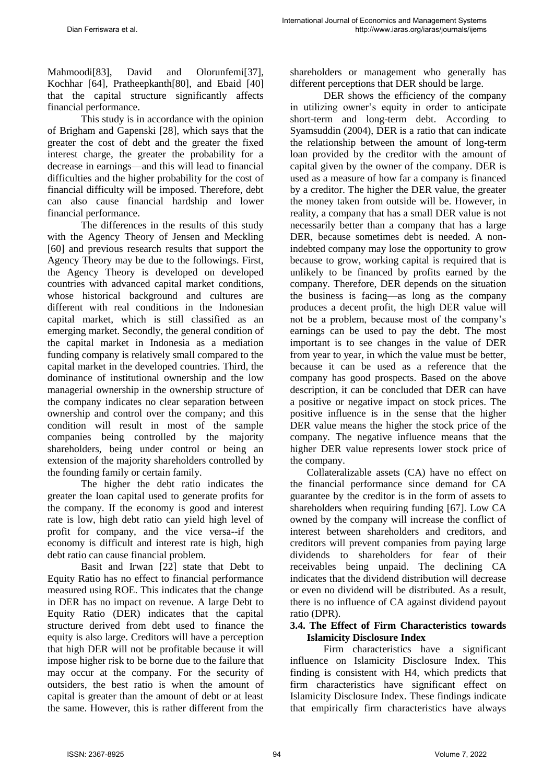Mahmoodi[83], David and Olorunfemi[37], Kochhar [64], Pratheepkanth[80], and Ebaid [40] that the capital structure significantly affects financial performance.

This study is in accordance with the opinion of Brigham and Gapenski [28], which says that the greater the cost of debt and the greater the fixed interest charge, the greater the probability for a decrease in earnings—and this will lead to financial difficulties and the higher probability for the cost of financial difficulty will be imposed. Therefore, debt can also cause financial hardship and lower financial performance.

The differences in the results of this study with the Agency Theory of Jensen and Meckling [60] and previous research results that support the Agency Theory may be due to the followings. First, the Agency Theory is developed on developed countries with advanced capital market conditions, whose historical background and cultures are different with real conditions in the Indonesian capital market, which is still classified as an emerging market. Secondly, the general condition of the capital market in Indonesia as a mediation funding company is relatively small compared to the capital market in the developed countries. Third, the dominance of institutional ownership and the low managerial ownership in the ownership structure of the company indicates no clear separation between ownership and control over the company; and this condition will result in most of the sample companies being controlled by the majority shareholders, being under control or being an extension of the majority shareholders controlled by the founding family or certain family.

The higher the debt ratio indicates the greater the loan capital used to generate profits for the company. If the economy is good and interest rate is low, high debt ratio can yield high level of profit for company, and the vice versa--if the economy is difficult and interest rate is high, high debt ratio can cause financial problem.

Basit and Irwan [22] state that Debt to Equity Ratio has no effect to financial performance measured using ROE. This indicates that the change in DER has no impact on revenue. A large Debt to Equity Ratio (DER) indicates that the capital structure derived from debt used to finance the equity is also large. Creditors will have a perception that high DER will not be profitable because it will impose higher risk to be borne due to the failure that may occur at the company. For the security of outsiders, the best ratio is when the amount of capital is greater than the amount of debt or at least the same. However, this is rather different from the shareholders or management who generally has different perceptions that DER should be large.

DER shows the efficiency of the company in utilizing owner's equity in order to anticipate short-term and long-term debt. According to Syamsuddin (2004), DER is a ratio that can indicate the relationship between the amount of long-term loan provided by the creditor with the amount of capital given by the owner of the company. DER is used as a measure of how far a company is financed by a creditor. The higher the DER value, the greater the money taken from outside will be. However, in reality, a company that has a small DER value is not necessarily better than a company that has a large DER, because sometimes debt is needed. A nonindebted company may lose the opportunity to grow because to grow, working capital is required that is unlikely to be financed by profits earned by the company. Therefore, DER depends on the situation the business is facing—as long as the company produces a decent profit, the high DER value will not be a problem, because most of the company's earnings can be used to pay the debt. The most important is to see changes in the value of DER from year to year, in which the value must be better, because it can be used as a reference that the company has good prospects. Based on the above description, it can be concluded that DER can have a positive or negative impact on stock prices. The positive influence is in the sense that the higher DER value means the higher the stock price of the company. The negative influence means that the higher DER value represents lower stock price of the company.

Collateralizable assets (CA) have no effect on the financial performance since demand for CA guarantee by the creditor is in the form of assets to shareholders when requiring funding [67]. Low CA owned by the company will increase the conflict of interest between shareholders and creditors, and creditors will prevent companies from paying large dividends to shareholders for fear of their receivables being unpaid. The declining CA indicates that the dividend distribution will decrease or even no dividend will be distributed. As a result, there is no influence of CA against dividend payout ratio (DPR).

### **3.4. The Effect of Firm Characteristics towards Islamicity Disclosure Index**

Firm characteristics have a significant influence on Islamicity Disclosure Index. This finding is consistent with H4, which predicts that firm characteristics have significant effect on Islamicity Disclosure Index. These findings indicate that empirically firm characteristics have always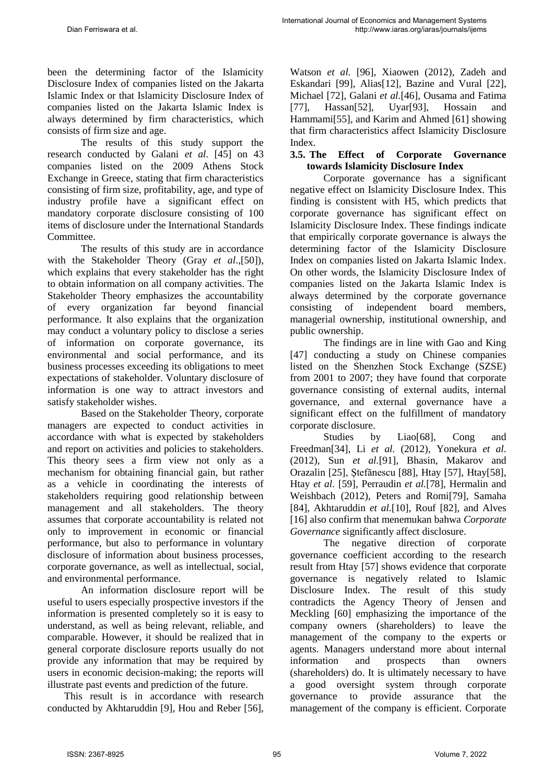been the determining factor of the Islamicity Disclosure Index of companies listed on the Jakarta Islamic Index or that Islamicity Disclosure Index of companies listed on the Jakarta Islamic Index is always determined by firm characteristics, which consists of firm size and age.

The results of this study support the research conducted by Galani *et al.* [45] on 43 companies listed on the 2009 Athens Stock Exchange in Greece, stating that firm characteristics consisting of firm size, profitability, age, and type of industry profile have a significant effect on mandatory corporate disclosure consisting of 100 items of disclosure under the International Standards Committee.

The results of this study are in accordance with the Stakeholder Theory (Gray *et al*.,[50]), which explains that every stakeholder has the right to obtain information on all company activities. The Stakeholder Theory emphasizes the accountability of every organization far beyond financial performance. It also explains that the organization may conduct a voluntary policy to disclose a series of information on corporate governance, its environmental and social performance, and its business processes exceeding its obligations to meet expectations of stakeholder. Voluntary disclosure of information is one way to attract investors and satisfy stakeholder wishes.

Based on the Stakeholder Theory, corporate managers are expected to conduct activities in accordance with what is expected by stakeholders and report on activities and policies to stakeholders. This theory sees a firm view not only as a mechanism for obtaining financial gain, but rather as a vehicle in coordinating the interests of stakeholders requiring good relationship between management and all stakeholders. The theory assumes that corporate accountability is related not only to improvement in economic or financial performance, but also to performance in voluntary disclosure of information about business processes, corporate governance, as well as intellectual, social, and environmental performance.

An information disclosure report will be useful to users especially prospective investors if the information is presented completely so it is easy to understand, as well as being relevant, reliable, and comparable. However, it should be realized that in general corporate disclosure reports usually do not provide any information that may be required by users in economic decision-making; the reports will illustrate past events and prediction of the future.

This result is in accordance with research conducted by Akhtaruddin [9], Hou and Reber [56], Watson *et al.* [96], Xiaowen (2012), Zadeh and Eskandari [99], Alias[12], Bazine and Vural [22], Michael [72], Galani *et al.*[46], Ousama and Fatima [77], Hassan[52], Uyar[93], Hossain and Hammami[55], and Karim and Ahmed [61] showing that firm characteristics affect Islamicity Disclosure Index*.*

### **3.5. The Effect of Corporate Governance towards Islamicity Disclosure Index**

Corporate governance has a significant negative effect on Islamicity Disclosure Index. This finding is consistent with H5, which predicts that corporate governance has significant effect on Islamicity Disclosure Index. These findings indicate that empirically corporate governance is always the determining factor of the Islamicity Disclosure Index on companies listed on Jakarta Islamic Index. On other words, the Islamicity Disclosure Index of companies listed on the Jakarta Islamic Index is always determined by the corporate governance consisting of independent board members, managerial ownership, institutional ownership, and public ownership.

The findings are in line with Gao and King [47] conducting a study on Chinese companies listed on the Shenzhen Stock Exchange (SZSE) from 2001 to 2007; they have found that corporate governance consisting of external audits, internal governance, and external governance have a significant effect on the fulfillment of mandatory corporate disclosure.

Studies by Liao[68], Cong and Freedman[34], Li *et al.* (2012), Yonekura *et al*. (2012), Sun *et al.*[91], Bhasin, Makarov and Orazalin [25], Ştefănescu [88], Htay [57], Htay[58], Htay *et al.* [59], Perraudin *et al.*[78], Hermalin and Weishbach (2012), Peters and Romi[79], Samaha [84], Akhtaruddin *et al.*[10], Rouf [82], and Alves [16] also confirm that menemukan bahwa *Corporate Governance* significantly affect disclosure.

The negative direction of corporate governance coefficient according to the research result from Htay [57] shows evidence that corporate governance is negatively related to Islamic Disclosure Index. The result of this study contradicts the Agency Theory of Jensen and Meckling [60] emphasizing the importance of the company owners (shareholders) to leave the management of the company to the experts or agents. Managers understand more about internal information and prospects than owners (shareholders) do. It is ultimately necessary to have a good oversight system through corporate governance to provide assurance that the management of the company is efficient. Corporate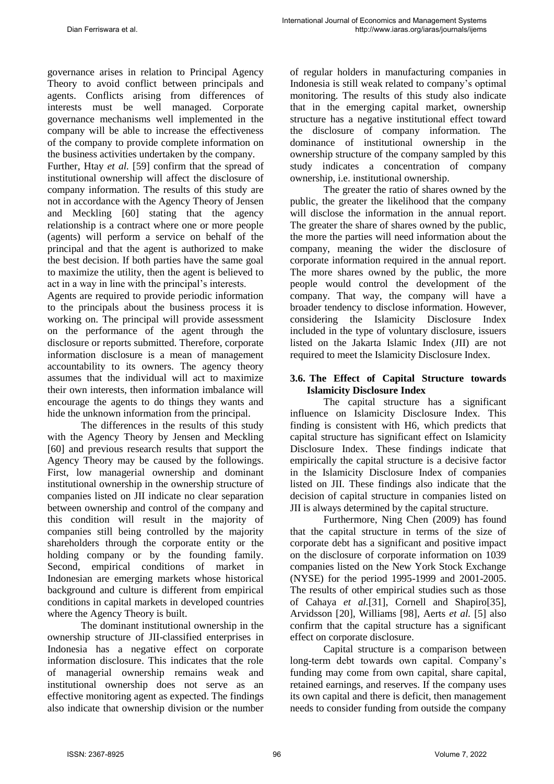governance arises in relation to Principal Agency Theory to avoid conflict between principals and agents. Conflicts arising from differences of interests must be well managed. Corporate governance mechanisms well implemented in the company will be able to increase the effectiveness of the company to provide complete information on the business activities undertaken by the company.

Further, Htay *et al.* [59] confirm that the spread of institutional ownership will affect the disclosure of company information. The results of this study are not in accordance with the Agency Theory of Jensen and Meckling [60] stating that the agency relationship is a contract where one or more people (agents) will perform a service on behalf of the principal and that the agent is authorized to make the best decision. If both parties have the same goal to maximize the utility, then the agent is believed to act in a way in line with the principal's interests.

Agents are required to provide periodic information to the principals about the business process it is working on. The principal will provide assessment on the performance of the agent through the disclosure or reports submitted. Therefore, corporate information disclosure is a mean of management accountability to its owners. The agency theory assumes that the individual will act to maximize their own interests, then information imbalance will encourage the agents to do things they wants and hide the unknown information from the principal.

The differences in the results of this study with the Agency Theory by Jensen and Meckling [60] and previous research results that support the Agency Theory may be caused by the followings. First, low managerial ownership and dominant institutional ownership in the ownership structure of companies listed on JII indicate no clear separation between ownership and control of the company and this condition will result in the majority of companies still being controlled by the majority shareholders through the corporate entity or the holding company or by the founding family. Second, empirical conditions of market in Indonesian are emerging markets whose historical background and culture is different from empirical conditions in capital markets in developed countries where the Agency Theory is built.

The dominant institutional ownership in the ownership structure of JII-classified enterprises in Indonesia has a negative effect on corporate information disclosure. This indicates that the role of managerial ownership remains weak and institutional ownership does not serve as an effective monitoring agent as expected. The findings also indicate that ownership division or the number of regular holders in manufacturing companies in Indonesia is still weak related to company's optimal monitoring. The results of this study also indicate that in the emerging capital market, ownership structure has a negative institutional effect toward the disclosure of company information. The dominance of institutional ownership in the ownership structure of the company sampled by this study indicates a concentration of company ownership, i.e. institutional ownership.

The greater the ratio of shares owned by the public, the greater the likelihood that the company will disclose the information in the annual report. The greater the share of shares owned by the public, the more the parties will need information about the company, meaning the wider the disclosure of corporate information required in the annual report. The more shares owned by the public, the more people would control the development of the company. That way, the company will have a broader tendency to disclose information. However, considering the Islamicity Disclosure Index included in the type of voluntary disclosure, issuers listed on the Jakarta Islamic Index (JII) are not required to meet the Islamicity Disclosure Index.

### **3.6. The Effect of Capital Structure towards Islamicity Disclosure Index**

The capital structure has a significant influence on Islamicity Disclosure Index. This finding is consistent with H6, which predicts that capital structure has significant effect on Islamicity Disclosure Index. These findings indicate that empirically the capital structure is a decisive factor in the Islamicity Disclosure Index of companies listed on JII. These findings also indicate that the decision of capital structure in companies listed on JII is always determined by the capital structure.

Furthermore, Ning Chen (2009) has found that the capital structure in terms of the size of corporate debt has a significant and positive impact on the disclosure of corporate information on 1039 companies listed on the New York Stock Exchange (NYSE) for the period 1995-1999 and 2001-2005. The results of other empirical studies such as those of Cahaya *et al.*[31], Cornell and Shapiro[35], Arvidsson [20], Williams [98], Aerts *et al.* [5] also confirm that the capital structure has a significant effect on corporate disclosure.

Capital structure is a comparison between long-term debt towards own capital. Company's funding may come from own capital, share capital, retained earnings, and reserves. If the company uses its own capital and there is deficit, then management needs to consider funding from outside the company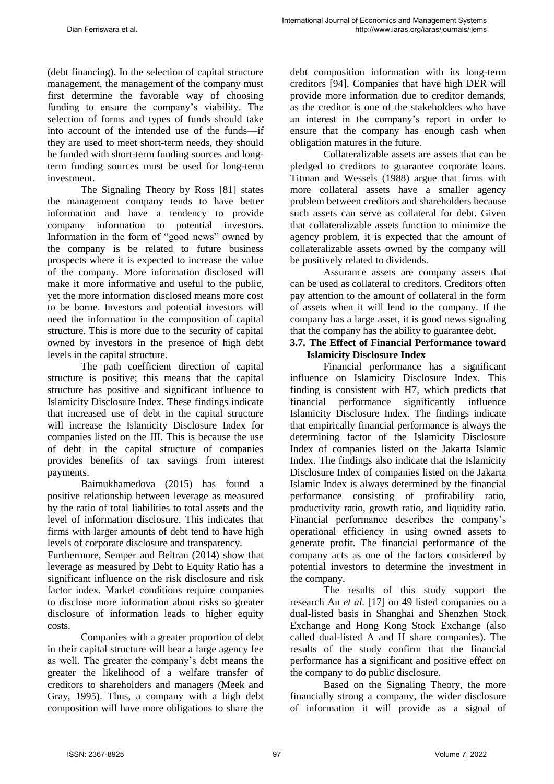(debt financing). In the selection of capital structure management, the management of the company must first determine the favorable way of choosing funding to ensure the company's viability. The selection of forms and types of funds should take into account of the intended use of the funds—if they are used to meet short-term needs, they should be funded with short-term funding sources and longterm funding sources must be used for long-term investment.

The Signaling Theory by Ross [81] states the management company tends to have better information and have a tendency to provide company information to potential investors. Information in the form of "good news" owned by the company is be related to future business prospects where it is expected to increase the value of the company. More information disclosed will make it more informative and useful to the public, yet the more information disclosed means more cost to be borne. Investors and potential investors will need the information in the composition of capital structure. This is more due to the security of capital owned by investors in the presence of high debt levels in the capital structure.

The path coefficient direction of capital structure is positive; this means that the capital structure has positive and significant influence to Islamicity Disclosure Index. These findings indicate that increased use of debt in the capital structure will increase the Islamicity Disclosure Index for companies listed on the JII. This is because the use of debt in the capital structure of companies provides benefits of tax savings from interest payments.

Baimukhamedova (2015) has found a positive relationship between leverage as measured by the ratio of total liabilities to total assets and the level of information disclosure. This indicates that firms with larger amounts of debt tend to have high levels of corporate disclosure and transparency.

Furthermore, Semper and Beltran (2014) show that leverage as measured by Debt to Equity Ratio has a significant influence on the risk disclosure and risk factor index. Market conditions require companies to disclose more information about risks so greater disclosure of information leads to higher equity costs.

Companies with a greater proportion of debt in their capital structure will bear a large agency fee as well. The greater the company's debt means the greater the likelihood of a welfare transfer of creditors to shareholders and managers (Meek and Gray, 1995). Thus, a company with a high debt composition will have more obligations to share the debt composition information with its long-term creditors [94]. Companies that have high DER will provide more information due to creditor demands, as the creditor is one of the stakeholders who have an interest in the company's report in order to ensure that the company has enough cash when obligation matures in the future.

Collateralizable assets are assets that can be pledged to creditors to guarantee corporate loans. Titman and Wessels (1988) argue that firms with more collateral assets have a smaller agency problem between creditors and shareholders because such assets can serve as collateral for debt. Given that collateralizable assets function to minimize the agency problem, it is expected that the amount of collateralizable assets owned by the company will be positively related to dividends.

Assurance assets are company assets that can be used as collateral to creditors. Creditors often pay attention to the amount of collateral in the form of assets when it will lend to the company. If the company has a large asset, it is good news signaling that the company has the ability to guarantee debt.

### **3.7. The Effect of Financial Performance toward Islamicity Disclosure Index**

Financial performance has a significant influence on Islamicity Disclosure Index. This finding is consistent with H7, which predicts that financial performance significantly influence Islamicity Disclosure Index. The findings indicate that empirically financial performance is always the determining factor of the Islamicity Disclosure Index of companies listed on the Jakarta Islamic Index. The findings also indicate that the Islamicity Disclosure Index of companies listed on the Jakarta Islamic Index is always determined by the financial performance consisting of profitability ratio, productivity ratio, growth ratio, and liquidity ratio. Financial performance describes the company's operational efficiency in using owned assets to generate profit. The financial performance of the company acts as one of the factors considered by potential investors to determine the investment in the company.

The results of this study support the research An *et al.* [17] on 49 listed companies on a dual-listed basis in Shanghai and Shenzhen Stock Exchange and Hong Kong Stock Exchange (also called dual-listed A and H share companies). The results of the study confirm that the financial performance has a significant and positive effect on the company to do public disclosure.

Based on the Signaling Theory, the more financially strong a company, the wider disclosure of information it will provide as a signal of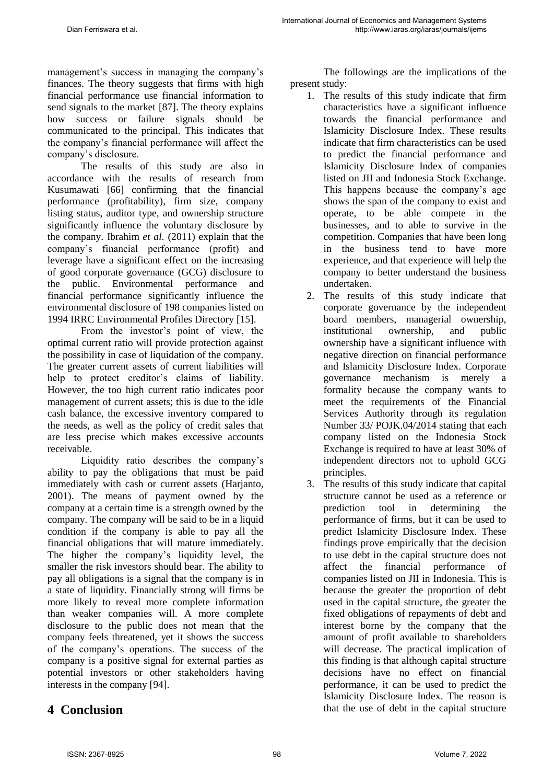management's success in managing the company's finances. The theory suggests that firms with high financial performance use financial information to send signals to the market [87]. The theory explains how success or failure signals should be communicated to the principal. This indicates that the company's financial performance will affect the company's disclosure.

The results of this study are also in accordance with the results of research from Kusumawati [66] confirming that the financial performance (profitability), firm size, company listing status, auditor type, and ownership structure significantly influence the voluntary disclosure by the company. Ibrahim *et al.* (2011) explain that the company's financial performance (profit) and leverage have a significant effect on the increasing of good corporate governance (GCG) disclosure to the public. Environmental performance and financial performance significantly influence the environmental disclosure of 198 companies listed on 1994 IRRC Environmental Profiles Directory [15].

From the investor's point of view, the optimal current ratio will provide protection against the possibility in case of liquidation of the company. The greater current assets of current liabilities will help to protect creditor's claims of liability. However, the too high current ratio indicates poor management of current assets; this is due to the idle cash balance, the excessive inventory compared to the needs, as well as the policy of credit sales that are less precise which makes excessive accounts receivable.

Liquidity ratio describes the company's ability to pay the obligations that must be paid immediately with cash or current assets (Harjanto, 2001). The means of payment owned by the company at a certain time is a strength owned by the company. The company will be said to be in a liquid condition if the company is able to pay all the financial obligations that will mature immediately. The higher the company's liquidity level, the smaller the risk investors should bear. The ability to pay all obligations is a signal that the company is in a state of liquidity. Financially strong will firms be more likely to reveal more complete information than weaker companies will. A more complete disclosure to the public does not mean that the company feels threatened, yet it shows the success of the company's operations. The success of the company is a positive signal for external parties as potential investors or other stakeholders having interests in the company [94].

## **4 Conclusion**

The followings are the implications of the present study:

- 1. The results of this study indicate that firm characteristics have a significant influence towards the financial performance and Islamicity Disclosure Index. These results indicate that firm characteristics can be used to predict the financial performance and Islamicity Disclosure Index of companies listed on JII and Indonesia Stock Exchange. This happens because the company's age shows the span of the company to exist and operate, to be able compete in the businesses, and to able to survive in the competition. Companies that have been long in the business tend to have more experience, and that experience will help the company to better understand the business undertaken.
- 2. The results of this study indicate that corporate governance by the independent board members, managerial ownership, institutional ownership, and public ownership have a significant influence with negative direction on financial performance and Islamicity Disclosure Index. Corporate governance mechanism is merely a formality because the company wants to meet the requirements of the Financial Services Authority through its regulation Number 33/ POJK.04/2014 stating that each company listed on the Indonesia Stock Exchange is required to have at least 30% of independent directors not to uphold GCG principles.
- 3. The results of this study indicate that capital structure cannot be used as a reference or prediction tool in determining the performance of firms, but it can be used to predict Islamicity Disclosure Index. These findings prove empirically that the decision to use debt in the capital structure does not affect the financial performance of companies listed on JII in Indonesia. This is because the greater the proportion of debt used in the capital structure, the greater the fixed obligations of repayments of debt and interest borne by the company that the amount of profit available to shareholders will decrease. The practical implication of this finding is that although capital structure decisions have no effect on financial performance, it can be used to predict the Islamicity Disclosure Index. The reason is that the use of debt in the capital structure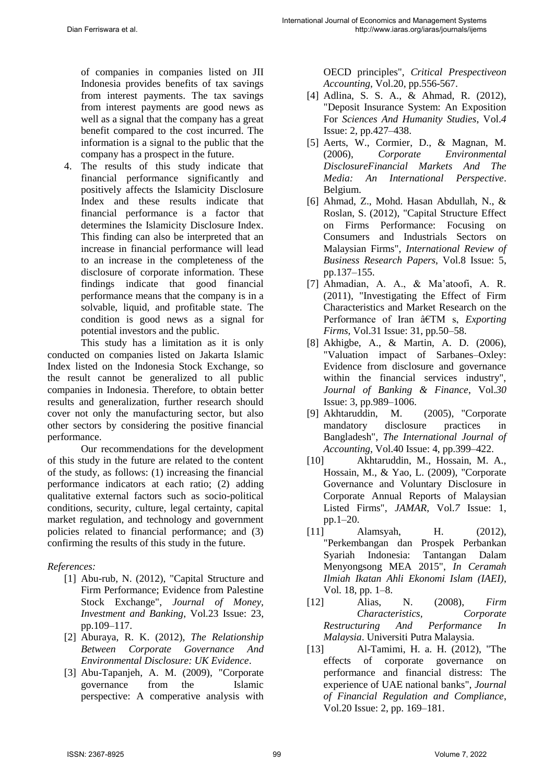of companies in companies listed on JII Indonesia provides benefits of tax savings from interest payments. The tax savings from interest payments are good news as well as a signal that the company has a great benefit compared to the cost incurred. The information is a signal to the public that the company has a prospect in the future.

4. The results of this study indicate that financial performance significantly and positively affects the Islamicity Disclosure Index and these results indicate that financial performance is a factor that determines the Islamicity Disclosure Index. This finding can also be interpreted that an increase in financial performance will lead to an increase in the completeness of the disclosure of corporate information. These findings indicate that good financial performance means that the company is in a solvable, liquid, and profitable state. The condition is good news as a signal for potential investors and the public.

This study has a limitation as it is only conducted on companies listed on Jakarta Islamic Index listed on the Indonesia Stock Exchange, so the result cannot be generalized to all public companies in Indonesia. Therefore, to obtain better results and generalization, further research should cover not only the manufacturing sector, but also other sectors by considering the positive financial performance.

Our recommendations for the development of this study in the future are related to the content of the study, as follows: (1) increasing the financial performance indicators at each ratio; (2) adding qualitative external factors such as socio-political conditions, security, culture, legal certainty, capital market regulation, and technology and government policies related to financial performance; and (3) confirming the results of this study in the future.

### *References:*

- [1] Abu-rub, N. (2012), "Capital Structure and Firm Performance; Evidence from Palestine Stock Exchange", *Journal of Money, Investment and Banking*, Vol.23 Issue: 23, pp.109–117.
- [2] Aburaya, R. K. (2012), *The Relationship Between Corporate Governance And Environmental Disclosure: UK Evidence*.
- [3] Abu-Tapanjeh, A. M. (2009), "Corporate governance from the Islamic perspective: A comperative analysis with

OECD principles", *Critical Prespectiveon Accounting*, Vol.20, pp.556-567.

- [4] Adlina, S. S. A., & Ahmad, R. (2012), "Deposit Insurance System: An Exposition For *Sciences And Humanity Studies*, Vol.*4*  Issue: 2, pp.427–438.
- [5] Aerts, W., Cormier, D., & Magnan, M. (2006), *Corporate Environmental DisclosureFinancial Markets And The Media: An International Perspective*. Belgium.
- [6] Ahmad, Z., Mohd. Hasan Abdullah, N., & Roslan, S. (2012), "Capital Structure Effect on Firms Performance: Focusing on Consumers and Industrials Sectors on Malaysian Firms", *International Review of Business Research Papers*, Vol.8 Issue: 5, pp.137–155.
- [7] Ahmadian, A. A., & Ma'atoofi, A. R. (2011), "Investigating the Effect of Firm Characteristics and Market Research on the Performance of Iran â€TM s, *Exporting Firms*, Vol.31 Issue: 31, pp.50–58.
- [8] Akhigbe, A., & Martin, A. D. (2006), "Valuation impact of Sarbanes–Oxley: Evidence from disclosure and governance within the financial services industry", *Journal of Banking & Finance*, Vol.*30*  Issue: 3, pp.989–1006.
- [9] Akhtaruddin, M. (2005), "Corporate mandatory disclosure practices in Bangladesh", *The International Journal of Accounting*, Vol.40 Issue: 4, pp.399–422.
- [10] Akhtaruddin, M., Hossain, M. A., Hossain, M., & Yao, L. (2009), "Corporate Governance and Voluntary Disclosure in Corporate Annual Reports of Malaysian Listed Firms", *JAMAR*, Vol.*7* Issue: 1, pp.1–20.
- [11] Alamsyah, H. (2012), "Perkembangan dan Prospek Perbankan Syariah Indonesia: Tantangan Dalam Menyongsong MEA 2015", *In Ceramah Ilmiah Ikatan Ahli Ekonomi Islam (IAEI)*, Vol. 18, pp. 1–8.
- [12] Alias, N. (2008), *Firm Characteristics, Corporate Restructuring And Performance In Malaysia*. Universiti Putra Malaysia.
- [13] Al-Tamimi, H. a. H. (2012), "The effects of corporate governance on performance and financial distress: The experience of UAE national banks", *Journal of Financial Regulation and Compliance*, Vol.20 Issue: 2, pp. 169–181.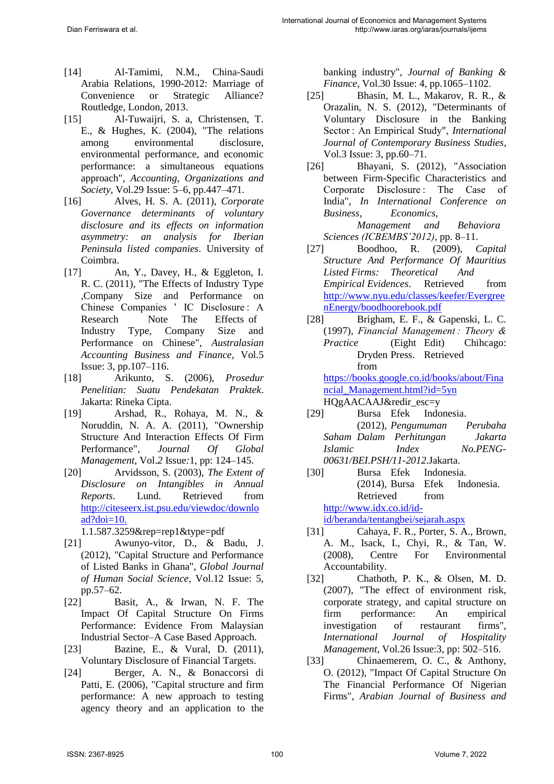- [14] Al-Tamimi, N.M., China-Saudi Arabia Relations, 1990-2012: Marriage of Convenience or Strategic Alliance? Routledge, London, 2013.
- [15] Al-Tuwaijri, S. a, Christensen, T. E., & Hughes, K. (2004), "The relations among environmental disclosure, environmental performance, and economic performance: a simultaneous equations approach", *Accounting, Organizations and Society*, Vol.29 Issue: 5–6, pp.447–471.
- [16] Alves, H. S. A. (2011), *Corporate Governance determinants of voluntary disclosure and its effects on information asymmetry: an analysis for Iberian Peninsula listed companies*. University of Coimbra.
- [17] An, Y., Davey, H., & Eggleton, I. R. C. (2011), "The Effects of Industry Type ,Company Size and Performance on Chinese Companies ' IC Disclosure : A Research Note The Effects of Industry Type, Company Size and Performance on Chinese", *Australasian Accounting Business and Finance*, Vol.5 Issue: 3, pp.107–116.
- [18] Arikunto, S. (2006), *Prosedur Penelitian: Suatu Pendekatan Praktek*. Jakarta: Rineka Cipta.
- [19] Arshad, R., Rohaya, M. N., & Noruddin, N. A. A. (2011), "Ownership Structure And Interaction Effects Of Firm Performance", *Journal Of Global Management*, Vol.*2* Issue*:*1, pp: 124–145.
- [20] Arvidsson, S. (2003), *The Extent of Disclosure on Intangibles in Annual Reports*. Lund. Retrieved from [http://citeseerx.ist.psu.edu/viewdoc/downlo](http://citeseerx.ist.psu.edu/viewdoc/download?doi=10) [ad?doi=10.](http://citeseerx.ist.psu.edu/viewdoc/download?doi=10)
	- 1.1.587.3259&rep=rep1&type=pdf
- [21] Awunyo-vitor, D., & Badu, J. (2012), "Capital Structure and Performance of Listed Banks in Ghana", *Global Journal of Human Social Science*, Vol.12 Issue: 5, pp.57–62.
- [22] Basit, A., & Irwan, N. F. The Impact Of Capital Structure On Firms Performance: Evidence From Malaysian Industrial Sector–A Case Based Approach.
- [23] Bazine, E., & Vural, D. (2011), Voluntary Disclosure of Financial Targets.
- [24] Berger, A. N., & Bonaccorsi di Patti, E. (2006), "Capital structure and firm performance: A new approach to testing agency theory and an application to the

banking industry", *Journal of Banking & Finance*, Vol.30 Issue: 4, pp.1065–1102.

- [25] Bhasin, M. L., Makarov, R. R., & Orazalin, N. S. (2012), "Determinants of Voluntary Disclosure in the Banking Sector : An Empirical Study", *International Journal of Contemporary Business Studies*, Vol.3 Issue: 3, pp.60–71.
- [26] Bhayani, S. (2012), "Association between Firm-Specific Characteristics and Corporate Disclosure : The Case of India", *In International Conference on Business, Economics, Management and Behaviora*
- *Sciences (ICBEMBS'2012)*, pp. 8–11. [27] Boodhoo, R. (2009), *Capital Structure And Performance Of Mauritius Listed Firms: Theoretical And Empirical Evidences*. Retrieved from [http://www.nyu.edu/classes/keefer/Evergree](http://www.nyu.edu/classes/keefer/EvergreenEnergy/boodhoorebook.pdf) [nEnergy/boodhoorebook.pdf](http://www.nyu.edu/classes/keefer/EvergreenEnergy/boodhoorebook.pdf)
- [28] Brigham, E. F., & Gapenski, L. C. (1997), *Financial Management : Theory & Practice* (Eight Edit) Chihcago: Dryden Press. Retrieved from

[https://books.google.co.id/books/about/Fina](https://books.google.co.id/books/about/Financial_Management.html?id=5yn) [ncial\\_Management.html?id=5yn](https://books.google.co.id/books/about/Financial_Management.html?id=5yn) HQgAACAAJ&redir\_esc=y

- [29] Bursa Efek Indonesia. (2012), *Pengumuman Perubaha Saham Dalam Perhitungan Jakarta Islamic Index No.PENG-00631/BEI.PSH/11-2012*.Jakarta.
- [30] Bursa Efek Indonesia. (2014), Bursa Efek Indonesia. Retrieved from [http://www.idx.co.id/id](http://www.idx.co.id/id-id/beranda/tentangbei/sejarah.aspx)[id/beranda/tentangbei/sejarah.aspx](http://www.idx.co.id/id-id/beranda/tentangbei/sejarah.aspx)
- [31] Cahaya, F. R., Porter, S. A., Brown, A. M., Isack, I., Chyi, R., & Tan, W. (2008), Centre For Environmental Accountability.
- [32] Chathoth, P. K., & Olsen, M. D. (2007), "The effect of environment risk, corporate strategy, and capital structure on firm performance: An empirical investigation of restaurant firms", *International Journal of Hospitality Management*, Vol.26 Issue:3, pp: 502–516.
- [33] Chinaemerem, O. C., & Anthony, O. (2012), "Impact Of Capital Structure On The Financial Performance Of Nigerian Firms", *Arabian Journal of Business and*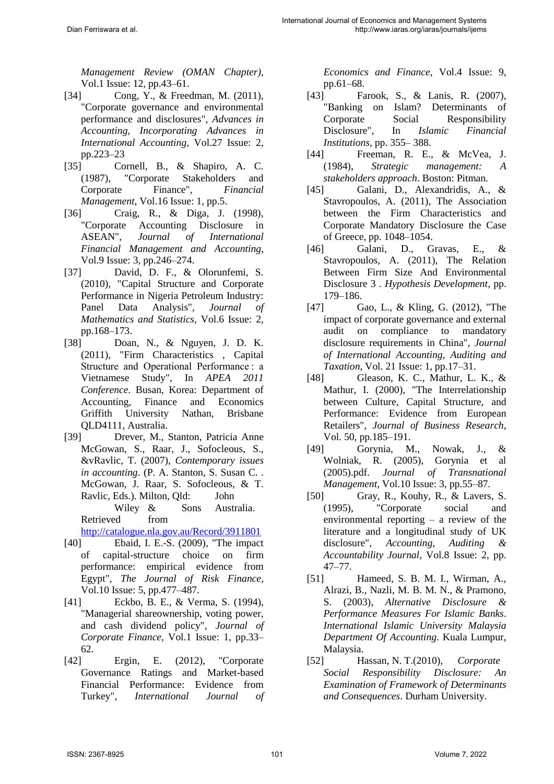*Management Review (OMAN Chapter)*, Vol.1 Issue: 12, pp.43–61.

- [34] Cong, Y., & Freedman, M. (2011), "Corporate governance and environmental performance and disclosures", *Advances in Accounting, Incorporating Advances in International Accounting*, Vol.27 Issue: 2, pp.223–23
- [35] Cornell, B., & Shapiro, A. C. (1987), "Corporate Stakeholders and Corporate Finance", *Financial Management*, Vol.16 Issue: 1, pp.5.
- [36] Craig, R., & Diga, J. (1998), "Corporate Accounting Disclosure in ASEAN", *Journal of International Financial Management and Accounting*, Vol.9 Issue: 3, pp.246–274.
- [37] David, D. F., & Olorunfemi, S. (2010), "Capital Structure and Corporate Performance in Nigeria Petroleum Industry: Panel Data Analysis", *Journal of Mathematics and Statistics*, Vol.6 Issue: 2,
- pp.168–173.<br>[38] Doar Doan, N., & Nguyen, J. D. K. (2011), "Firm Characteristics , Capital Structure and Operational Performance : a Vietnamese Study", In *APEA 2011 Conference*. Busan, Korea: Department of Accounting, Finance and Economics Griffith University Nathan, Brisbane QLD4111, Australia.
- [39] Drever, M., Stanton, Patricia Anne McGowan, S., Raar, J., Sofocleous, S., &vRavlic, T. (2007), *Contemporary issues in accounting*. (P. A. Stanton, S. Susan C. . McGowan, J. Raar, S. Sofocleous, & T. Ravlic, Eds.). Milton, Qld: John Wiley & Sons Australia. Retrieved from <http://catalogue.nla.gov.au/Record/3911801>
- [40] Ebaid, I. E.-S. (2009), "The impact of capital-structure choice on firm performance: empirical evidence from Egypt", *The Journal of Risk Finance*, Vol.10 Issue: 5, pp.477–487.
- [41] Eckbo, B. E., & Verma, S. (1994), "Managerial shareownership, voting power, and cash dividend policy", *Journal of Corporate Finance*, Vol.1 Issue: 1, pp.33– 62.
- [42] Ergin, E. (2012), "Corporate Governance Ratings and Market-based Financial Performance: Evidence from Turkey", *International Journal of*

*Economics and Finance*, Vol.4 Issue: 9, pp.61–68.

- [43] Farook, S., & Lanis, R. (2007), "Banking on Islam? Determinants of Corporate Social Responsibility Disclosure", In *Islamic Financial Institutions*, pp. 355– 388.
- [44] Freeman, R. E., & McVea, J. (1984), *Strategic management: A stakeholders approach*. Boston: Pitman.
- [45] Galani, D., Alexandridis, A., & Stavropoulos, A. (2011), The Association between the Firm Characteristics and Corporate Mandatory Disclosure the Case of Greece, pp. 1048–1054.
- [46] Galani, D., Gravas, E., & Stavropoulos, A. (2011), The Relation Between Firm Size And Environmental Disclosure 3 . *Hypothesis Development*, pp. 179–186.
- [47] Gao, L., & Kling, G. (2012), "The impact of corporate governance and external audit on compliance to mandatory disclosure requirements in China", *Journal of International Accounting, Auditing and Taxation*, Vol. 21 Issue: 1, pp.17–31.
- [48] Gleason, K. C., Mathur, L. K., & Mathur, I. (2000), "The Interrelationship between Culture, Capital Structure, and Performance: Evidence from European Retailers", *Journal of Business Research*, Vol. 50, pp.185–191.
- [49] Gorynia, M., Nowak, J., & Wolniak, R. (2005), Gorynia et al (2005).pdf. *Journal of Transnational Management*, Vol.10 Issue: 3, pp.55–87.
- [50] Gray, R., Kouhy, R., & Lavers, S. (1995), "Corporate social and environmental reporting – a review of the literature and a longitudinal study of UK disclosure", *Accounting, Auditing & Accountability Journal*, Vol.8 Issue: 2, pp. 47–77.
- [51] Hameed, S. B. M. I., Wirman, A., Alrazi, B., Nazli, M. B. M. N., & Pramono, S. (2003), *Alternative Disclosure & Performance Measures For Islamic Banks*. *International Islamic University Malaysia Department Of Accounting*. Kuala Lumpur, Malaysia.
- [52] Hassan, N. T.(2010), *Corporate Social Responsibility Disclosure: An Examination of Framework of Determinants and Consequences*. Durham University.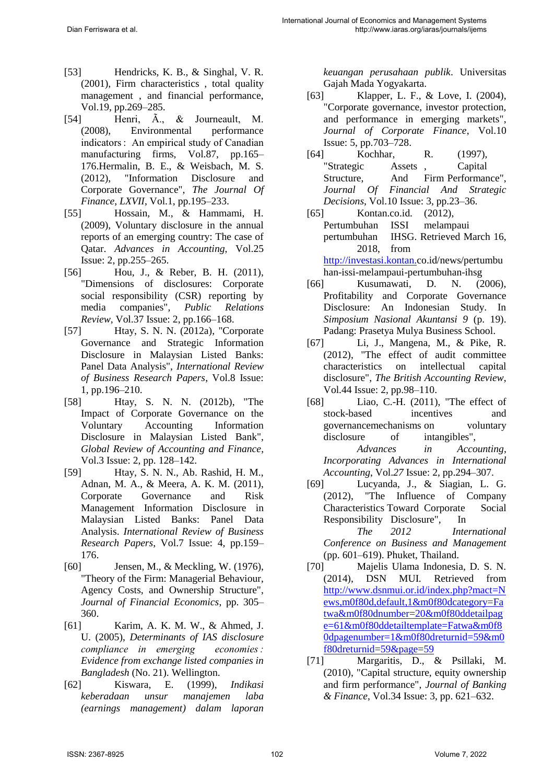- [53] Hendricks, K. B., & Singhal, V. R. (2001), Firm characteristics , total quality management , and financial performance, Vol.19, pp.269–285.
- [54] Henri, Ã., & Journeault, M. (2008). Environmental performance indicators : An empirical study of Canadian manufacturing firms, Vol.87, pp.165– 176.Hermalin, B. E., & Weisbach, M. S. (2012), "Information Disclosure and Corporate Governance", *The Journal Of Finance*, *LXVII*, Vol.1, pp.195–233.
- [55] Hossain, M., & Hammami, H. (2009), Voluntary disclosure in the annual reports of an emerging country: The case of Qatar. *Advances in Accounting*, Vol.25 Issue: 2, pp.255–265.
- [56] Hou, J., & Reber, B. H. (2011), "Dimensions of disclosures: Corporate social responsibility (CSR) reporting by media companies", *Public Relations Review*, Vol.37 Issue: 2, pp.166–168.
- [57] Htay, S. N. N. (2012a), "Corporate Governance and Strategic Information Disclosure in Malaysian Listed Banks: Panel Data Analysis", *International Review of Business Research Papers*, Vol.8 Issue: 1, pp.196–210.
- [58] Htay, S. N. N. (2012b), "The Impact of Corporate Governance on the Voluntary Accounting Information Disclosure in Malaysian Listed Bank", *Global Review of Accounting and Finance*, Vol.3 Issue: 2, pp. 128–142.
- [59] Htay, S. N. N., Ab. Rashid, H. M., Adnan, M. A., & Meera, A. K. M. (2011), Corporate Governance and Risk Management Information Disclosure in Malaysian Listed Banks: Panel Data Analysis. *International Review of Business Research Papers*, Vol.7 Issue: 4, pp.159– 176.
- [60] Jensen, M., & Meckling, W. (1976), "Theory of the Firm: Managerial Behaviour, Agency Costs, and Ownership Structure", *Journal of Financial Economics*, pp. 305– 360.
- [61] Karim, A. K. M. W., & Ahmed, J. U. (2005), *Determinants of IAS disclosure compliance in emerging economies : Evidence from exchange listed companies in Bangladesh* (No. 21). Wellington.
- [62] Kiswara, E. (1999), *Indikasi keberadaan unsur manajemen laba (earnings management) dalam laporan*

*keuangan perusahaan publik*. Universitas Gajah Mada Yogyakarta.

- [63] Klapper, L. F., & Love, I. (2004), "Corporate governance, investor protection, and performance in emerging markets", *Journal of Corporate Finance*, Vol.10 Issue: 5, pp.703–728.
- [64] Kochhar, R. (1997), "Strategic Assets , Capital Structure, And Firm Performance", *Journal Of Financial And Strategic Decisions*, Vol.10 Issue: 3, pp.23–36.
- [65] Kontan.co.id. (2012), Pertumbuhan ISSI melampaui pertumbuhan IHSG. Retrieved March 16, 2018, from [http://investasi.kontan.c](http://investasi.kontan./)o.id/news/pertumbu han-issi-melampaui-pertumbuhan-ihsg
- [66] Kusumawati, D. N. (2006), Profitability and Corporate Governance Disclosure: An Indonesian Study. In *Simposium Nasional Akuntansi 9* (p. 19). Padang: Prasetya Mulya Business School.
- [67] Li, J., Mangena, M., & Pike, R. (2012), "The effect of audit committee characteristics on intellectual capital disclosure", *The British Accounting Review*, Vol.44 Issue: 2, pp.98–110.
- [68] Liao, C.-H. (2011), "The effect of stock-based incentives and governancemechanisms on voluntary disclosure of intangibles", *Advances in Accounting, Incorporating Advances in International Accounting*, Vol.*27* Issue: 2, pp.294–307.
- [69] Lucyanda, J., & Siagian, L. G. (2012), "The Influence of Company Characteristics Toward Corporate Social Responsibility Disclosure", In

*The 2012 International Conference on Business and Management*  (pp. 601–619). Phuket, Thailand.

- [70] Majelis Ulama Indonesia, D. S. N. (2014), DSN MUI. Retrieved from [http://www.dsnmui.or.id/index.php?mact=N](http://www.dsnmui.or.id/index.php?mact=News,m0f80d,default,1&m0f80dc#ategory=Fatwa&m0f80dnumber=20&m0f80ddetailpage=61&m0f80ddetailtemplate=Fatwa&m0f80dpagenumber=1&m0f80dreturnid=59&m0f80dreturnid=59&page=59) [ews,m0f80d,default,1&m0f80dcategory=Fa](http://www.dsnmui.or.id/index.php?mact=News,m0f80d,default,1&m0f80dc#ategory=Fatwa&m0f80dnumber=20&m0f80ddetailpage=61&m0f80ddetailtemplate=Fatwa&m0f80dpagenumber=1&m0f80dreturnid=59&m0f80dreturnid=59&page=59) [twa&m0f80dnumber=20&m0f80ddetailpag](http://www.dsnmui.or.id/index.php?mact=News,m0f80d,default,1&m0f80dc#ategory=Fatwa&m0f80dnumber=20&m0f80ddetailpage=61&m0f80ddetailtemplate=Fatwa&m0f80dpagenumber=1&m0f80dreturnid=59&m0f80dreturnid=59&page=59) [e=61&m0f80ddetailtemplate=Fatwa&m0f8](http://www.dsnmui.or.id/index.php?mact=News,m0f80d,default,1&m0f80dc#ategory=Fatwa&m0f80dnumber=20&m0f80ddetailpage=61&m0f80ddetailtemplate=Fatwa&m0f80dpagenumber=1&m0f80dreturnid=59&m0f80dreturnid=59&page=59) [0dpagenumber=1&m0f80dreturnid=59&m0](http://www.dsnmui.or.id/index.php?mact=News,m0f80d,default,1&m0f80dc#ategory=Fatwa&m0f80dnumber=20&m0f80ddetailpage=61&m0f80ddetailtemplate=Fatwa&m0f80dpagenumber=1&m0f80dreturnid=59&m0f80dreturnid=59&page=59) [f80dreturnid=59&page=59](http://www.dsnmui.or.id/index.php?mact=News,m0f80d,default,1&m0f80dc#ategory=Fatwa&m0f80dnumber=20&m0f80ddetailpage=61&m0f80ddetailtemplate=Fatwa&m0f80dpagenumber=1&m0f80dreturnid=59&m0f80dreturnid=59&page=59)
- [71] Margaritis, D., & Psillaki, M. (2010), "Capital structure, equity ownership and firm performance", *Journal of Banking & Finance*, Vol.34 Issue: 3, pp. 621–632.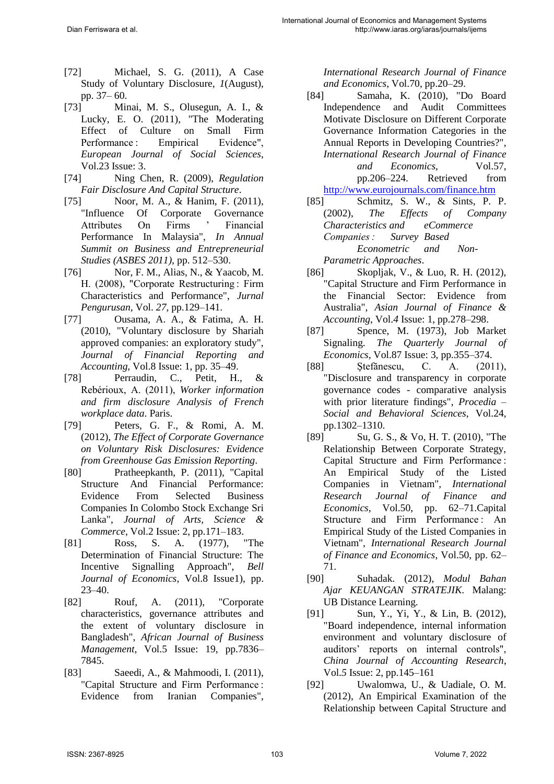- [72] Michael, S. G. (2011), A Case Study of Voluntary Disclosure, *1*(August), pp. 37– 60.
- [73] Minai, M. S., Olusegun, A. I., & Lucky, E. O. (2011), "The Moderating Effect of Culture on Small Firm Performance : Empirical Evidence", *European Journal of Social Sciences*, Vol.23 Issue: 3.
- [74] Ning Chen, R. (2009), *Regulation Fair Disclosure And Capital Structure*.
- [75] Noor, M. A., & Hanim, F. (2011), "Influence Of Corporate Governance Attributes On Firms ' Financial Performance In Malaysia", *In Annual Summit on Business and Entrepreneurial Studies (ASBES 2011),* pp. 512–530.
- [76] Nor, F. M., Alias, N., & Yaacob, M. H. (2008), "Corporate Restructuring : Firm Characteristics and Performance", *Jurnal Pengurusan*, Vol. *27*, pp.129–141.
- [77] Ousama, A. A., & Fatima, A. H. (2010), "Voluntary disclosure by Shariah approved companies: an exploratory study", *Journal of Financial Reporting and Accounting*, Vol.8 Issue: 1, pp. 35–49.
- [78] Perraudin, C., Petit, H., & Rebérioux, A. (2011), *Worker information and firm disclosure Analysis of French workplace data*. Paris.
- [79] Peters, G. F., & Romi, A. M. (2012), *The Effect of Corporate Governance on Voluntary Risk Disclosures: Evidence from Greenhouse Gas Emission Reporting*.
- [80] Pratheepkanth, P. (2011), "Capital Structure And Financial Performance: Evidence From Selected Business Companies In Colombo Stock Exchange Sri Lanka", *Journal of Arts, Science & Commerce*, Vol.2 Issue: 2, pp.171–183.
- [81] Ross, S. A. (1977), "The Determination of Financial Structure: The Incentive Signalling Approach", *Bell Journal of Economics*, Vol.8 Issue1), pp. 23–40.
- [82] Rouf, A. (2011), "Corporate characteristics, governance attributes and the extent of voluntary disclosure in Bangladesh", *African Journal of Business Management*, Vol.5 Issue: 19, pp.7836– 7845.
- [83] Saeedi, A., & Mahmoodi, I. (2011), "Capital Structure and Firm Performance : Evidence from Iranian Companies",

*International Research Journal of Finance and Economics*, Vol.70, pp.20–29.

- [84] Samaha, K. (2010), "Do Board Independence and Audit Committees Motivate Disclosure on Different Corporate Governance Information Categories in the Annual Reports in Developing Countries?", *International Research Journal of Finance and Economics*, Vol.57, pp.206–224. Retrieved from <http://www.eurojournals.com/finance.htm>
- [85] Schmitz, S. W., & Sints, P. P. (2002), *The Effects of Company Characteristics and eCommerce Companies : Survey Based Econometric and Non-Parametric Approaches*.
- [86] Skopljak, V., & Luo, R. H. (2012), "Capital Structure and Firm Performance in the Financial Sector: Evidence from Australia", *Asian Journal of Finance & Accounting*, Vol.*4* Issue: 1, pp.278–298.
- [87] Spence, M. (1973), Job Market Signaling. *The Quarterly Journal of Economics*, Vol.87 Issue: 3, pp.355–374.
- [88] Ştefănescu, C. A. (2011), "Disclosure and transparency in corporate governance codes - comparative analysis with prior literature findings", *Procedia – Social and Behavioral Sciences*, Vol.24, pp.1302–1310.
- [89] Su, G. S., & Vo, H. T. (2010), "The Relationship Between Corporate Strategy, Capital Structure and Firm Performance : An Empirical Study of the Listed Companies in Vietnam", *International Research Journal of Finance and Economics*, Vol.50, pp. 62–71.Capital Structure and Firm Performance: An Empirical Study of the Listed Companies in Vietnam", *International Research Journal of Finance and Economics*, Vol.50, pp. 62– 71.
- [90] Suhadak. (2012), *Modul Bahan Ajar KEUANGAN STRATEJIK*. Malang: UB Distance Learning.
- [91] Sun, Y., Yi, Y., & Lin, B. (2012), "Board independence, internal information environment and voluntary disclosure of auditors' reports on internal controls", *China Journal of Accounting Research*, Vol.*5* Issue: 2, pp.145–161
- [92] Uwalomwa, U., & Uadiale, O. M. (2012), An Empirical Examination of the Relationship between Capital Structure and